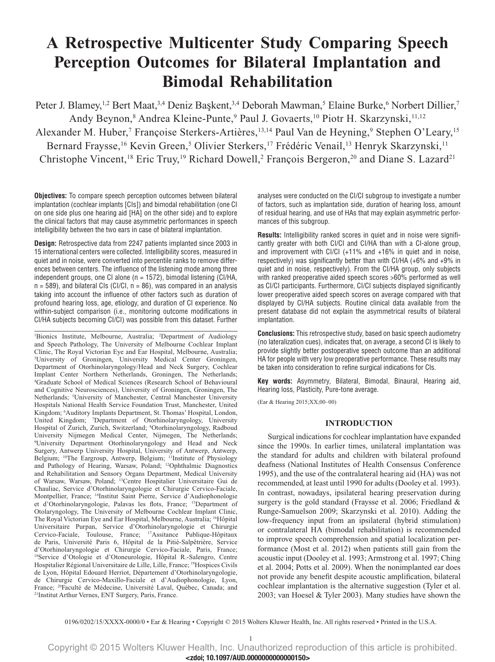# **A Retrospective Multicenter Study Comparing Speech Perception Outcomes for Bilateral Implantation and Bimodal Rehabilitation**

Peter J. Blamey,<sup>1,2</sup> Bert Maat,<sup>3,4</sup> Deniz Başkent,<sup>3,4</sup> Deborah Mawman,<sup>5</sup> Elaine Burke,<sup>6</sup> Norbert Dillier,<sup>7</sup> Andy Beynon,<sup>8</sup> Andrea Kleine-Punte,<sup>9</sup> Paul J. Govaerts,<sup>10</sup> Piotr H. Skarzynski,<sup>11,12</sup> Alexander M. Huber,<sup>7</sup> Françoise Sterkers-Artières,<sup>13,14</sup> Paul Van de Heyning,<sup>9</sup> Stephen O'Leary,<sup>15</sup> Bernard Fraysse,<sup>16</sup> Kevin Green,<sup>5</sup> Olivier Sterkers,<sup>17</sup> Frédéric Venail,<sup>13</sup> Henryk Skarzynski,<sup>11</sup> Christophe Vincent,<sup>18</sup> Eric Truy,<sup>19</sup> Richard Dowell,<sup>2</sup> François Bergeron,<sup>20</sup> and Diane S. Lazard<sup>21</sup>

**Objectives:** To compare speech perception outcomes between bilateral implantation (cochlear implants [CIs]) and bimodal rehabilitation (one CI on one side plus one hearing aid [HA] on the other side) and to explore the clinical factors that may cause asymmetric performances in speech intelligibility between the two ears in case of bilateral implantation.

**Design:** Retrospective data from 2247 patients implanted since 2003 in 15 international centers were collected. Intelligibility scores, measured in quiet and in noise, were converted into percentile ranks to remove differences between centers. The influence of the listening mode among three independent groups, one CI alone (n = 1572), bimodal listening (CI/HA,  $n = 589$ ), and bilateral CIs (CI/CI,  $n = 86$ ), was compared in an analysis taking into account the influence of other factors such as duration of profound hearing loss, age, etiology, and duration of CI experience. No within-subject comparison (i.e., monitoring outcome modifications in CI/HA subjects becoming CI/CI) was possible from this dataset. Further

<sup>1</sup>Bionics Institute, Melbourne, Australia; <sup>2</sup>Department of Audiology and Speech Pathology, The University of Melbourne Cochlear Implant Clinic, The Royal Victorian Eye and Ear Hospital, Melbourne, Australia; 3 University of Groningen, University Medical Center Groningen, Department of Otorhinolaryngology/Head and Neck Surgery, Cochlear Implant Center Northern Netherlands, Groningen, The Netherlands; 4 Graduate School of Medical Sciences (Research School of Behavioural and Cognitive Neurosciences), University of Groningen, Groningen, The Netherlands; <sup>5</sup>University of Manchester, Central Manchester University Hospitals National Health Service Foundation Trust, Manchester, United Kingdom; <sup>6</sup> Auditory Implants Department, St. Thomas' Hospital, London, United Kingdom; 7 Department of Otorhinolaryngology, University Hospital of Zurich, Zurich, Switzerland; <sup>8</sup>Otorhinolaryngology, Radboud University Nijmegen Medical Center, Nijmegen, The Netherlands; 9 University Department Otorhinolaryngology and Head and Neck Surgery, Antwerp University Hospital, University of Antwerp, Antwerp, Belgium; <sup>10</sup>The Eargroup, Antwerp, Belgium; <sup>11</sup>Institute of Physiology and Pathology of Hearing, Warsaw, Poland; 12Ophthalmic Diagnostics and Rehabilitation and Sensory Organs Department, Medical University of Warsaw, Warsaw, Poland; 13Centre Hospitalier Universitaire Gui de Chauliac, Service d'Otorhinolaryngologie et Chirurgie Cervico-Faciale, Montpellier, France; 14Institut Saint Pierre, Service d'Audiophonologie et d'Otorhinolaryngologie, Palavas les flots, France; 15Department of Otolaryngology, The University of Melbourne Cochlear Implant Clinic, The Royal Victorian Eye and Ear Hospital, Melbourne, Australia; 16Hôpital Universitaire Purpan, Service d'Otorhinolaryngologie et Chirurgie Cervico-Faciale, Toulouse, France; 17Assitance Publique-Hôpitaux de Paris, Université Paris 6, Hôpital de la Pitié-Salpêtrière, Service d'Otorhinolaryngologie et Chirurgie Cervico-Faciale, Paris, France; <sup>18</sup>Service d'Otologie et d'Otoneurologie, Hôpital R.-Salengro, Centre Hospitalier Régional Universitaire de Lille, Lille, France; 19Hospices Civils de Lyon, Hôpital Edouard Herriot, Département d'Otorhinolaryngologie, de Chirurgie Cervico-Maxillo-Faciale et d'Audiophonologie, Lyon, France; 20Faculté de Médecine, Université Laval, Québec, Canada; and 21Institut Arthur Vernes, ENT Surgery, Paris, France.

analyses were conducted on the CI/CI subgroup to investigate a number of factors, such as implantation side, duration of hearing loss, amount of residual hearing, and use of HAs that may explain asymmetric performances of this subgroup.

**Results:** Intelligibility ranked scores in quiet and in noise were significantly greater with both CI/CI and CI/HA than with a CI-alone group, and improvement with CI/CI (+11% and +16% in quiet and in noise, respectively) was significantly better than with CI/HA (+6% and +9% in quiet and in noise, respectively). From the CI/HA group, only subjects with ranked preoperative aided speech scores >60% performed as well as CI/CI participants. Furthermore, CI/CI subjects displayed significantly lower preoperative aided speech scores on average compared with that displayed by CI/HA subjects. Routine clinical data available from the present database did not explain the asymmetrical results of bilateral implantation.

**Conclusions:** This retrospective study, based on basic speech audiometry (no lateralization cues), indicates that, on average, a second CI is likely to provide slightly better postoperative speech outcome than an additional HA for people with very low preoperative performance. These results may be taken into consideration to refine surgical indications for CIs.

**Key words:** Asymmetry, Bilateral, Bimodal, Binaural, Hearing aid, Hearing loss, Plasticity, Pure-tone average.

(Ear & Hearing 2015;XX;00–00)

# **Introduction**

Surgical indications for cochlear implantation have expanded since the 1990s. In earlier times, unilateral implantation was the standard for adults and children with bilateral profound deafness (National Institutes of Health Consensus Conference 1995), and the use of the contralateral hearing aid (HA) was not recommended, at least until 1990 for adults (Dooley et al. 1993). In contrast, nowadays, ipsilateral hearing preservation during surgery is the gold standard (Fraysse et al. 2006; Friedland & Runge-Samuelson 2009; Skarzynski et al. 2010). Adding the low-frequency input from an ipsilateral (hybrid stimulation) or contralateral HA (bimodal rehabilitation) is recommended to improve speech comprehension and spatial localization performance (Most et al. 2012) when patients still gain from the acoustic input (Dooley et al. 1993; Armstrong et al. 1997; Ching et al. 2004; Potts et al. 2009). When the nonimplanted ear does not provide any benefit despite acoustic amplification, bilateral cochlear implantation is the alternative suggestion (Tyler et al. 2003; van Hoesel & Tyler 2003). Many studies have shown the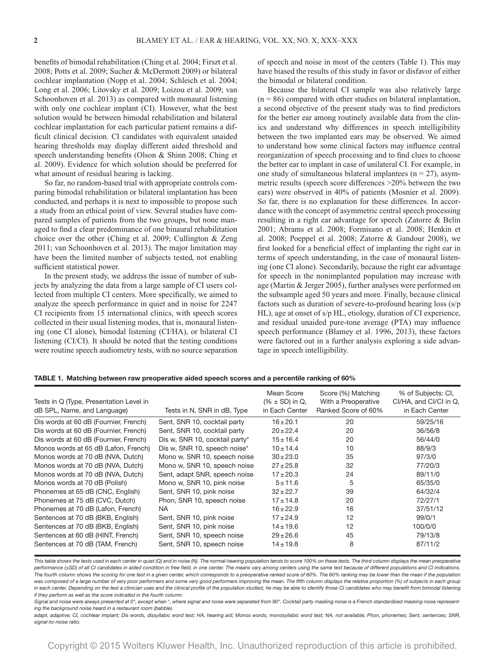benefits of bimodal rehabilitation (Ching et al. 2004; Firszt et al. 2008; Potts et al. 2009; Sucher & McDermott 2009) or bilateral cochlear implantation (Nopp et al. 2004; Schleich et al. 2004; Long et al. 2006; Litovsky et al. 2009; Loizou et al. 2009; van Schoonhoven et al. 2013) as compared with monaural listening with only one cochlear implant (CI). However, what the best solution would be between bimodal rehabilitation and bilateral cochlear implantation for each particular patient remains a difficult clinical decision. CI candidates with equivalent unaided hearing thresholds may display different aided threshold and speech understanding benefits (Olson & Shinn 2008; Ching et al. 2009). Evidence for which solution should be preferred for what amount of residual hearing is lacking.

So far, no random-based trial with appropriate controls comparing bimodal rehabilitation or bilateral implantation has been conducted, and perhaps it is next to impossible to propose such a study from an ethical point of view. Several studies have compared samples of patients from the two groups, but none managed to find a clear predominance of one binaural rehabilitation choice over the other (Ching et al. 2009; Cullington & Zeng 2011; van Schoonhoven et al. 2013). The major limitation may have been the limited number of subjects tested, not enabling sufficient statistical power.

In the present study, we address the issue of number of subjects by analyzing the data from a large sample of CI users collected from multiple CI centers. More specifically, we aimed to analyze the speech performance in quiet and in noise for 2247 CI recipients from 15 international clinics, with speech scores collected in their usual listening modes, that is, monaural listening (one CI alone), bimodal listening (CI/HA), or bilateral CI listening (CI/CI). It should be noted that the testing conditions were routine speech audiometry tests, with no source separation of speech and noise in most of the centers (Table 1). This may have biased the results of this study in favor or disfavor of either the bimodal or bilateral condition.

Because the bilateral CI sample was also relatively large  $(n = 86)$  compared with other studies on bilateral implantation, a second objective of the present study was to find predictors for the better ear among routinely available data from the clinics and understand why differences in speech intelligibility between the two implanted ears may be observed. We aimed to understand how some clinical factors may influence central reorganization of speech processing and to find clues to choose the better ear to implant in case of unilateral CI. For example, in one study of simultaneous bilateral implantees ( $n = 27$ ), asymmetric results (speech score differences >20% between the two ears) were observed in 40% of patients (Mosnier et al. 2009). So far, there is no explanation for these differences. In accordance with the concept of asymmetric central speech processing resulting in a right ear advantage for speech (Zatorre & Belin 2001; Abrams et al. 2008; Formisano et al. 2008; Henkin et al. 2008; Poeppel et al. 2008; Zatorre & Gandour 2008), we first looked for a beneficial effect of implanting the right ear in terms of speech understanding, in the case of monaural listening (one CI alone). Secondarily, because the right ear advantage for speech in the nonimplanted population may increase with age (Martin & Jerger 2005), further analyses were performed on the subsample aged 50 years and more. Finally, because clinical factors such as duration of severe-to-profound hearing loss (s/p HL), age at onset of s/p HL, etiology, duration of CI experience, and residual unaided pure-tone average (PTA) may influence speech performance (Blamey et al. 1996, 2013), these factors were factored out in a further analysis exploring a side advantage in speech intelligibility.

#### **TABLE 1. Matching between raw preoperative aided speech scores and a percentile ranking of 60%**

| Tests in Q (Type, Presentation Level in<br>dB SPL, Name, and Language) | Tests in N, SNR in dB, Type    | Mean Score<br>$(\% \pm SD)$ in Q,<br>in Each Center | Score (%) Matching<br>With a Preoperative<br>Ranked Score of 60% | % of Subjects: CI,<br>CI/HA, and CI/CI in Q,<br>in Each Center |
|------------------------------------------------------------------------|--------------------------------|-----------------------------------------------------|------------------------------------------------------------------|----------------------------------------------------------------|
| Dis words at 60 dB (Fournier, French)                                  | Sent, SNR 10, cocktail party   | $16 + 20.1$                                         | 20                                                               | 59/25/16                                                       |
| Dis words at 60 dB (Fournier, French)                                  | Sent, SNR 10, cocktail party   | $20 \pm 22.4$                                       | 20                                                               | 36/56/8                                                        |
| Dis words at 60 dB (Fournier, French)                                  | Dis w, SNR 10, cocktail party* | $15 \pm 16.4$                                       | 20                                                               | 56/44/0                                                        |
| Monos words at 65 dB (Lafon, French)                                   | Dis w, SNR 10, speech noise*   | $10 \pm 14.4$                                       | 10                                                               | 88/9/3                                                         |
| Monos words at 70 dB (NVA, Dutch)                                      | Mono w, SNR 10, speech noise   | $30 + 23.0$                                         | 35                                                               | 97/3/0                                                         |
| Monos words at 70 dB (NVA, Dutch)                                      | Mono w, SNR 10, speech noise   | $27 + 25.8$                                         | 32                                                               | 77/20/3                                                        |
| Monos words at 70 dB (NVA, Dutch)                                      | Sent, adapt SNR, speech noise  | $17 + 20.3$                                         | 24                                                               | 89/11/0                                                        |
| Monos words at 70 dB (Polish)                                          | Mono w, SNR 10, pink noise     | $5 + 11.6$                                          | 5                                                                | 65/35/0                                                        |
| Phonemes at 65 dB (CNC, English)                                       | Sent, SNR 10, pink noise       | $32 + 22.7$                                         | 39                                                               | 64/32/4                                                        |
| Phonemes at 75 dB (CVC, Dutch)                                         | Phon, SNR 10, speech noise     | $17 \pm 14.8$                                       | 20                                                               | 72/27/1                                                        |
| Phonemes at 70 dB (Lafon, French)                                      | NA.                            | $16 + 22.9$                                         | 16                                                               | 37/51/12                                                       |
| Sentences at 70 dB (BKB, English)                                      | Sent, SNR 10, pink noise       | $17 + 24.9$                                         | 12                                                               | 99/0/1                                                         |
| Sentences at 70 dB (BKB, English)                                      | Sent, SNR 10, pink noise       | $14 \pm 19.6$                                       | 12                                                               | 100/0/0                                                        |
| Sentences at 60 dB (HINT, French)                                      | Sent, SNR 10, speech noise     | $29 \pm 26.6$                                       | 45                                                               | 79/13/8                                                        |
| Sentences at 70 dB (TAM, French)                                       | Sent, SNR 10, speech noise     | $14 \pm 19.8$                                       | 8                                                                | 87/11/2                                                        |

This table shows the tests used in each center in quiet (Q) and in noise (N). The normal-hearing population tends to score 100% on these tests. The third column displays the mean preoperative *performance (±SD) of all CI candidates in aided condition in free field, in one center. The means vary among centers using the same test because of different populations and CI indications.*  The fourth column shows the scoring for one test in a given center, which corresponds to a preoperative ranked score of 60%. The 60% ranking may be lower than the mean if the population was composed of a large number of very poor performers and some very good performers improving the mean. The fifth column displays the relative proportion (%) of subjects in each group in each center. Depending on the test a clinician uses and the clinical profile of the population studied, he may be able to identify those CI candidates who may benefit from bimodal listening *if they perform as well as the score indicated in the fourth column.*

Signal and noise were always presented at 0°, except when \*, where signal and noise were separated from 90°. Cocktail party masking noise is a French standardized masking noise represent*ing the background noise heard in a restaurant room (babble).*

adapt, adaptive; CI, cochlear implant; Dis words, dissyllabic word test; HA, hearing aid; Monos words, monosyllabic word test; NA, not available; Phon, phonemes; Sent, sentences; SNR, *signal-to-noise ratio.*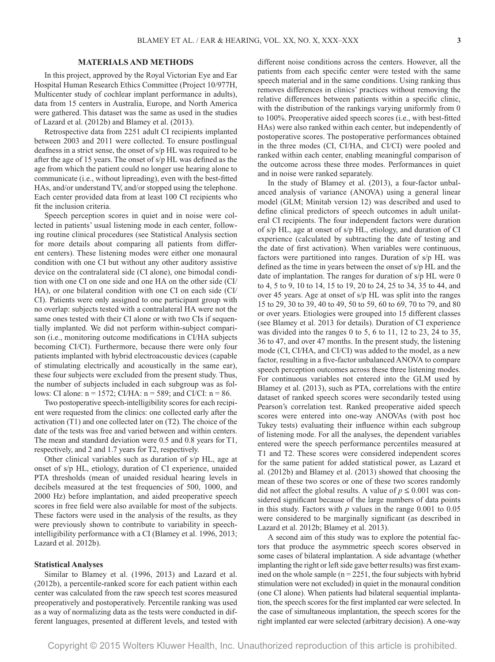## **MATERIALS AND METHODS**

In this project, approved by the Royal Victorian Eye and Ear Hospital Human Research Ethics Committee (Project 10/977H, Multicenter study of cochlear implant performance in adults), data from 15 centers in Australia, Europe, and North America were gathered. This dataset was the same as used in the studies of Lazard et al. (2012b) and Blamey et al. (2013).

Retrospective data from 2251 adult CI recipients implanted between 2003 and 2011 were collected. To ensure postlingual deafness in a strict sense, the onset of s/p HL was required to be after the age of 15 years. The onset of s/p HL was defined as the age from which the patient could no longer use hearing alone to communicate (i.e., without lipreading), even with the best-fitted HAs, and/or understand TV, and/or stopped using the telephone. Each center provided data from at least 100 CI recipients who fit the inclusion criteria.

Speech perception scores in quiet and in noise were collected in patients' usual listening mode in each center, following routine clinical procedures (see Statistical Analysis section for more details about comparing all patients from different centers). These listening modes were either one monaural condition with one CI but without any other auditory assistive device on the contralateral side (CI alone), one bimodal condition with one CI on one side and one HA on the other side (CI/ HA), or one bilateral condition with one CI on each side (CI/ CI). Patients were only assigned to one participant group with no overlap: subjects tested with a contralateral HA were not the same ones tested with their CI alone or with two CIs if sequentially implanted. We did not perform within-subject comparison (i.e., monitoring outcome modifications in CI/HA subjects becoming CI/CI). Furthermore, because there were only four patients implanted with hybrid electroacoustic devices (capable of stimulating electrically and acoustically in the same ear), these four subjects were excluded from the present study. Thus, the number of subjects included in each subgroup was as follows: CI alone:  $n = 1572$ ; CI/HA:  $n = 589$ ; and CI/CI:  $n = 86$ .

Two postoperative speech-intelligibility scores for each recipient were requested from the clinics: one collected early after the activation (T1) and one collected later on (T2). The choice of the date of the tests was free and varied between and within centers. The mean and standard deviation were 0.5 and 0.8 years for T1, respectively, and 2 and 1.7 years for T2, respectively.

Other clinical variables such as duration of s/p HL, age at onset of s/p HL, etiology, duration of CI experience, unaided PTA thresholds (mean of unaided residual hearing levels in decibels measured at the test frequencies of 500, 1000, and 2000 Hz) before implantation, and aided preoperative speech scores in free field were also available for most of the subjects. These factors were used in the analysis of the results, as they were previously shown to contribute to variability in speechintelligibility performance with a CI (Blamey et al. 1996, 2013; Lazard et al. 2012b).

#### **Statistical Analyses**

Similar to Blamey et al. (1996, 2013) and Lazard et al. (2012b), a percentile-ranked score for each patient within each center was calculated from the raw speech test scores measured preoperatively and postoperatively. Percentile ranking was used as a way of normalizing data as the tests were conducted in different languages, presented at different levels, and tested with different noise conditions across the centers. However, all the patients from each specific center were tested with the same speech material and in the same conditions. Using ranking thus removes differences in clinics' practices without removing the relative differences between patients within a specific clinic, with the distribution of the rankings varying uniformly from 0 to 100%. Preoperative aided speech scores (i.e., with best-fitted HAs) were also ranked within each center, but independently of postoperative scores. The postoperative performances obtained in the three modes (CI, CI/HA, and CI/CI) were pooled and ranked within each center, enabling meaningful comparison of the outcome across these three modes. Performances in quiet and in noise were ranked separately.

In the study of Blamey et al. (2013), a four-factor unbalanced analysis of variance (ANOVA) using a general linear model (GLM; Minitab version 12) was described and used to define clinical predictors of speech outcomes in adult unilateral CI recipients. The four independent factors were duration of s/p HL, age at onset of s/p HL, etiology, and duration of CI experience (calculated by subtracting the date of testing and the date of first activation). When variables were continuous, factors were partitioned into ranges. Duration of s/p HL was defined as the time in years between the onset of s/p HL and the date of implantation. The ranges for duration of s/p HL were 0 to 4, 5 to 9, 10 to 14, 15 to 19, 20 to 24, 25 to 34, 35 to 44, and over 45 years. Age at onset of s/p HL was split into the ranges 15 to 29, 30 to 39, 40 to 49, 50 to 59, 60 to 69, 70 to 79, and 80 or over years. Etiologies were grouped into 15 different classes (see Blamey et al. 2013 for details). Duration of CI experience was divided into the ranges 0 to 5, 6 to 11, 12 to 23, 24 to 35, 36 to 47, and over 47 months. In the present study, the listening mode (CI, CI/HA, and CI/CI) was added to the model, as a new factor, resulting in a five-factor unbalanced ANOVA to compare speech perception outcomes across these three listening modes. For continuous variables not entered into the GLM used by Blamey et al. (2013), such as PTA, correlations with the entire dataset of ranked speech scores were secondarily tested using Pearson's correlation test. Ranked preoperative aided speech scores were entered into one-way ANOVAs (with post hoc Tukey tests) evaluating their influence within each subgroup of listening mode. For all the analyses, the dependent variables entered were the speech performance percentiles measured at T1 and T2. These scores were considered independent scores for the same patient for added statistical power, as Lazard et al. (2012b) and Blamey et al. (2013) showed that choosing the mean of these two scores or one of these two scores randomly did not affect the global results. A value of  $p \leq 0.001$  was considered significant because of the large numbers of data points in this study. Factors with *p* values in the range 0.001 to 0.05 were considered to be marginally significant (as described in Lazard et al. 2012b; Blamey et al. 2013).

A second aim of this study was to explore the potential factors that produce the asymmetric speech scores observed in some cases of bilateral implantation. A side advantage (whether implanting the right or left side gave better results) was first examined on the whole sample  $(n = 2251)$ , the four subjects with hybrid stimulation were not excluded) in quiet in the monaural condition (one CI alone). When patients had bilateral sequential implantation, the speech scores for the first implanted ear were selected. In the case of simultaneous implantation, the speech scores for the right implanted ear were selected (arbitrary decision). A one-way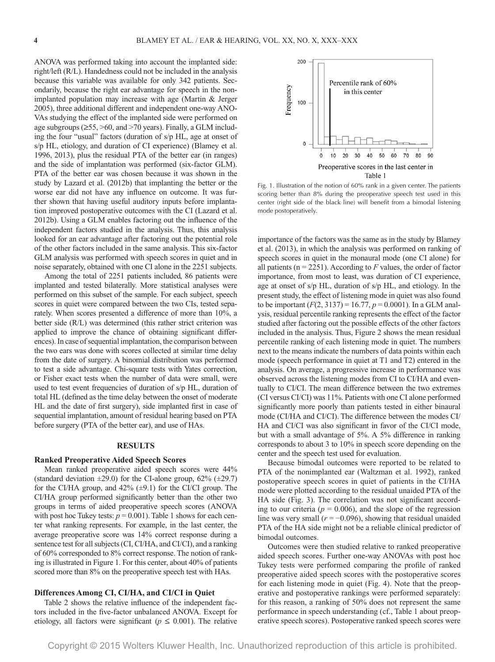ANOVA was performed taking into account the implanted side: right/left (R/L). Handedness could not be included in the analysis because this variable was available for only 342 patients. Secondarily, because the right ear advantage for speech in the nonimplanted population may increase with age (Martin & Jerger 2005), three additional different and independent one-way ANO-VAs studying the effect of the implanted side were performed on age subgroups (≥55, >60, and >70 years). Finally, a GLM including the four "usual" factors (duration of s/p HL, age at onset of s/p HL, etiology, and duration of CI experience) (Blamey et al. 1996, 2013), plus the residual PTA of the better ear (in ranges) and the side of implantation was performed (six-factor GLM). PTA of the better ear was chosen because it was shown in the study by Lazard et al. (2012b) that implanting the better or the worse ear did not have any influence on outcome. It was further shown that having useful auditory inputs before implantation improved postoperative outcomes with the CI (Lazard et al. 2012b). Using a GLM enables factoring out the influence of the independent factors studied in the analysis. Thus, this analysis looked for an ear advantage after factoring out the potential role of the other factors included in the same analysis. This six-factor GLM analysis was performed with speech scores in quiet and in noise separately, obtained with one CI alone in the 2251 subjects.

Among the total of 2251 patients included, 86 patients were implanted and tested bilaterally. More statistical analyses were performed on this subset of the sample. For each subject, speech scores in quiet were compared between the two CIs, tested separately. When scores presented a difference of more than 10%, a better side (R/L) was determined (this rather strict criterion was applied to improve the chance of obtaining significant differences). In case of sequential implantation, the comparison between the two ears was done with scores collected at similar time delay from the date of surgery. A binomial distribution was performed to test a side advantage. Chi-square tests with Yates correction, or Fisher exact tests when the number of data were small, were used to test event frequencies of duration of s/p HL, duration of total HL (defined as the time delay between the onset of moderate HL and the date of first surgery), side implanted first in case of sequential implantation, amount of residual hearing based on PTA before surgery (PTA of the better ear), and use of HAs.

#### **RESULTS**

#### **Ranked Preoperative Aided Speech Scores**

Mean ranked preoperative aided speech scores were 44% (standard deviation  $\pm 29.0$ ) for the CI-alone group, 62% ( $\pm 29.7$ ) for the CI/HA group, and  $42\%$  ( $\pm$ 9.1) for the CI/CI group. The CI/HA group performed significantly better than the other two groups in terms of aided preoperative speech scores (ANOVA with post hoc Tukey tests:  $p = 0.001$ ). Table 1 shows for each center what ranking represents. For example, in the last center, the average preoperative score was 14% correct response during a sentence test for all subjects (CI, CI/HA, and CI/CI), and a ranking of 60% corresponded to 8% correct response. The notion of ranking is illustrated in Figure 1. For this center, about 40% of patients scored more than  $8\%$  on the preoperative speech test with HAs.

#### **Differences Among CI, CI/HA, and CI/CI in Quiet**

Table 2 shows the relative influence of the independent factors included in the five-factor unbalanced ANOVA. Except for etiology, all factors were significant ( $p \leq 0.001$ ). The relative



Fig. 1. Illustration of the notion of 60% rank in a given center. The patients scoring better than 8% during the preoperative speech test used in this center (right side of the black line) will benefit from a bimodal listening mode postoperatively.

importance of the factors was the same as in the study by Blamey et al. (2013), in which the analysis was performed on ranking of speech scores in quiet in the monaural mode (one CI alone) for all patients ( $n = 2251$ ). According to  $F$  values, the order of factor importance, from most to least, was duration of CI experience, age at onset of s/p HL, duration of s/p HL, and etiology. In the present study, the effect of listening mode in quiet was also found to be important (*F*(2, 3137) = 16.77, *p* = 0.0001). In a GLM analysis, residual percentile ranking represents the effect of the factor studied after factoring out the possible effects of the other factors included in the analysis. Thus, Figure 2 shows the mean residual percentile ranking of each listening mode in quiet. The numbers next to the means indicate the numbers of data points within each mode (speech performance in quiet at T1 and T2) entered in the analysis. On average, a progressive increase in performance was observed across the listening modes from CI to CI/HA and eventually to CI/CI. The mean difference between the two extremes (CI versus CI/CI) was 11%. Patients with one CI alone performed significantly more poorly than patients tested in either binaural mode (CI/HA and CI/CI). The difference between the modes CI/ HA and CI/CI was also significant in favor of the CI/CI mode, but with a small advantage of 5%. A 5% difference in ranking corresponds to about 3 to 10% in speech score depending on the center and the speech test used for evaluation.

Because bimodal outcomes were reported to be related to PTA of the nonimplanted ear (Waltzman et al. 1992), ranked postoperative speech scores in quiet of patients in the CI/HA mode were plotted according to the residual unaided PTA of the HA side (Fig. 3). The correlation was not significant according to our criteria ( $p = 0.006$ ), and the slope of the regression line was very small  $(r = -0.096)$ , showing that residual unaided PTA of the HA side might not be a reliable clinical predictor of bimodal outcomes.

Outcomes were then studied relative to ranked preoperative aided speech scores. Further one-way ANOVAs with post hoc Tukey tests were performed comparing the profile of ranked preoperative aided speech scores with the postoperative scores for each listening mode in quiet (Fig. 4). Note that the preoperative and postoperative rankings were performed separately: for this reason, a ranking of 50% does not represent the same performance in speech understanding (cf., Table 1 about preoperative speech scores). Postoperative ranked speech scores were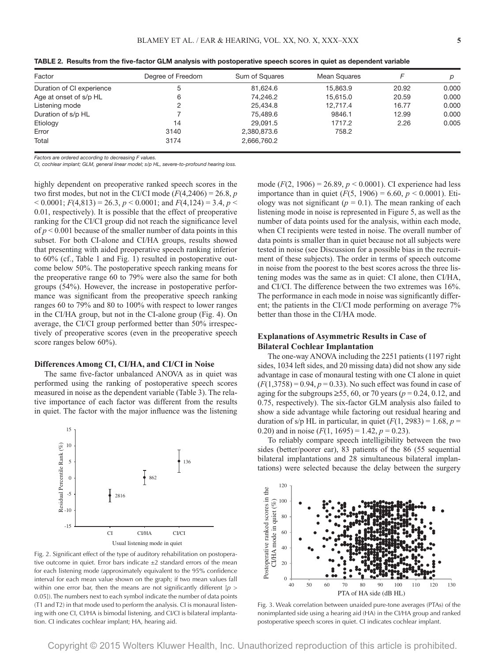| Factor                    | Degree of Freedom | Sum of Squares | Mean Squares |       | D     |
|---------------------------|-------------------|----------------|--------------|-------|-------|
| Duration of CI experience |                   | 81.624.6       | 15,863.9     | 20.92 | 0.000 |
| Age at onset of s/p HL    |                   | 74.246.2       | 15.615.0     | 20.59 | 0.000 |
| Listening mode            |                   | 25,434.8       | 12.717.4     | 16.77 | 0.000 |
| Duration of s/p HL        |                   | 75.489.6       | 9846.1       | 12.99 | 0.000 |
| Etiology                  | 14                | 29.091.5       | 1717.2       | 2.26  | 0.005 |
| Error                     | 3140              | 2,380,873.6    | 758.2        |       |       |
| Total                     | 3174              | 2,666,760.2    |              |       |       |

**TABLE 2. Results from the five-factor GLM analysis with postoperative speech scores in quiet as dependent variable**

*Factors are ordered according to decreasing F values.*

*CI, cochlear implant; GLM, general linear model; s/p HL, severe-to-profound hearing loss.*

highly dependent on preoperative ranked speech scores in the two first modes, but not in the CI/CI mode  $(F(4,2406) = 26.8, p$  $<$  0.0001; *F*(4,813) = 26.3, *p*  $<$  0.0001; and *F*(4,124) = 3.4, *p*  $<$ 0.01, respectively). It is possible that the effect of preoperative ranking for the CI/CI group did not reach the significance level of  $p < 0.001$  because of the smaller number of data points in this subset. For both CI-alone and CI/HA groups, results showed that presenting with aided preoperative speech ranking inferior to 60% (cf., Table 1 and Fig. 1) resulted in postoperative outcome below 50%. The postoperative speech ranking means for the preoperative range 60 to 79% were also the same for both groups (54%). However, the increase in postoperative performance was significant from the preoperative speech ranking ranges 60 to 79% and 80 to 100% with respect to lower ranges in the CI/HA group, but not in the CI-alone group (Fig. 4). On average, the CI/CI group performed better than 50% irrespectively of preoperative scores (even in the preoperative speech score ranges below 60%).

## **Differences Among CI, CI/HA, and CI/CI in Noise**

The same five-factor unbalanced ANOVA as in quiet was performed using the ranking of postoperative speech scores measured in noise as the dependent variable (Table 3). The relative importance of each factor was different from the results in quiet. The factor with the major influence was the listening



Fig. 2. Significant effect of the type of auditory rehabilitation on postoperative outcome in quiet. Error bars indicate  $\pm 2$  standard errors of the mean for each listening mode (approximately equivalent to the 95% confidence interval for each mean value shown on the graph; if two mean values fall within one error bar, then the means are not significantly different [*p* > 0.05]). The numbers next to each symbol indicate the number of data points (T1 and T2) in that mode used to perform the analysis. CI is monaural listening with one CI, CI/HA is bimodal listening, and CI/CI is bilateral implantation. CI indicates cochlear implant; HA, hearing aid.

mode (*F*(2, 1906) = 26.89, *p* < 0.0001). CI experience had less importance than in quiet  $(F(5, 1906) = 6.60, p < 0.0001)$ . Etiology was not significant ( $p = 0.1$ ). The mean ranking of each listening mode in noise is represented in Figure 5, as well as the number of data points used for the analysis, within each mode, when CI recipients were tested in noise. The overall number of data points is smaller than in quiet because not all subjects were tested in noise (see Discussion for a possible bias in the recruitment of these subjects). The order in terms of speech outcome in noise from the poorest to the best scores across the three listening modes was the same as in quiet: CI alone, then CI/HA, and CI/CI. The difference between the two extremes was 16%. The performance in each mode in noise was significantly different; the patients in the CI/CI mode performing on average 7% better than those in the CI/HA mode.

## **Explanations of Asymmetric Results in Case of Bilateral Cochlear Implantation**

The one-way ANOVA including the 2251 patients (1197 right sides, 1034 left sides, and 20 missing data) did not show any side advantage in case of monaural testing with one CI alone in quiet  $(F(1,3758) = 0.94, p = 0.33)$ . No such effect was found in case of aging for the subgroups  $\geq 55$ , 60, or 70 years ( $p = 0.24$ , 0.12, and 0.75, respectively). The six-factor GLM analysis also failed to show a side advantage while factoring out residual hearing and duration of s/p HL in particular, in quiet  $(F(1, 2983) = 1.68, p =$ 0.20) and in noise  $(F(1, 1695) = 1.42, p = 0.23)$ .

To reliably compare speech intelligibility between the two sides (better/poorer ear), 83 patients of the 86 (55 sequential bilateral implantations and 28 simultaneous bilateral implantations) were selected because the delay between the surgery



Fig. 3. Weak correlation between unaided pure-tone averages (PTAs) of the nonimplanted side using a hearing aid (HA) in the CI/HA group and ranked postoperative speech scores in quiet. CI indicates cochlear implant.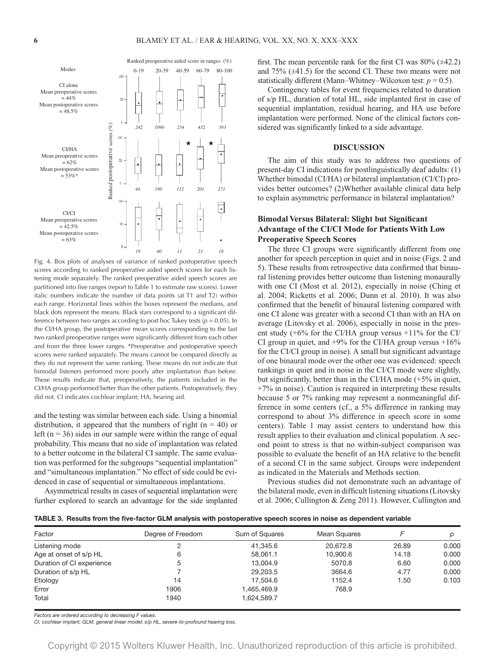Ranked preoperative aided score in ranges (%) Modes 0-19 20-39 40-59 60-79 80-100 inn CI alone Mean preoperative scores  $\overline{\phantom{a}}$  $= 44%$ Mean postoperative scores  $= 48.5%$  $\mathbf{a}$ . Ranked postoperative scores (%) Ranked postoperative scores (%) *242 1090 254 432 393*  $100$ CI/HA  $\overline{\cdot}$ Mean preoperative scores 50  $= 62%$ Mean postoperative scores  $= 53\%$  $\mathsf{n}$ . *44 190 112 201 271* <sub>100</sub> F. CI/CI  $\overline{\phantom{a}}$ l. Mean preoperative scores kn.  $= 42.5%$ Mean postoperative scores  $= 63%$  $\mathbf{0}$ *19 60 11 21 18*

Fig. 4. Box plots of analyses of variance of ranked postoperative speech scores according to ranked preoperative aided speech scores for each listening mode separately. The ranked preoperative aided speech scores are partitioned into five ranges (report to Table 1 to estimate raw scores). Lower italic numbers indicate the number of data points (at T1 and T2) within each range. Horizontal lines within the boxes represent the medians, and black dots represent the means. Black stars correspond to a significant difference between two ranges according to post hoc Tukey tests ( $p = 0.05$ ). In the CI/HA group, the postoperative mean scores corresponding to the last two ranked preoperative ranges were significantly different from each other and from the three lower ranges. \*Preoperative and postoperative speech scores were ranked separately. The means cannot be compared directly as they do not represent the same ranking. These means do not indicate that bimodal listeners performed more poorly after implantation than before. These results indicate that, preoperatively, the patients included in the CI/HA group performed better than the other patients. Postoperatively, they did not. CI indicates cochlear implant; HA, hearing aid.

and the testing was similar between each side. Using a binomial distribution, it appeared that the numbers of right ( $n = 40$ ) or left ( $n = 36$ ) sides in our sample were within the range of equal probability. This means that no side of implantation was related to a better outcome in the bilateral CI sample. The same evaluation was performed for the subgroups "sequential implantation" and "simultaneous implantation." No effect of side could be evidenced in case of sequential or simultaneous implantations.

Asymmetrical results in cases of sequential implantation were further explored to search an advantage for the side implanted

first. The mean percentile rank for the first CI was  $80\%$  ( $\pm$ 42.2) and 75% (±41.5) for the second CI. These two means were not statistically different (Mann–Whitney–Wilcoxon test:  $p = 0.5$ ).

Contingency tables for event frequencies related to duration of s/p HL, duration of total HL, side implanted first in case of sequential implantation, residual hearing, and HA use before implantation were performed. None of the clinical factors considered was significantly linked to a side advantage.

#### **DISCUSSION**

The aim of this study was to address two questions of present-day CI indications for postlinguistically deaf adults: (1) Whether bimodal (CI/HA) or bilateral implantation (CI/CI) provides better outcomes? (2)Whether available clinical data help to explain asymmetric performance in bilateral implantation?

# **Bimodal Versus Bilateral: Slight but Significant Advantage of the CI/CI Mode for Patients With Low Preoperative Speech Scores**

The three CI groups were significantly different from one another for speech perception in quiet and in noise (Figs. 2 and 5). These results from retrospective data confirmed that binaural listening provides better outcome than listening monaurally with one CI (Most et al. 2012), especially in noise (Ching et al. 2004; Ricketts et al. 2006; Dunn et al. 2010). It was also confirmed that the benefit of binaural listening compared with one CI alone was greater with a second CI than with an HA on average (Litovsky et al. 2006), especially in noise in the present study  $(+6\%$  for the CI/HA group versus  $+11\%$  for the CI/ CI group in quiet, and  $+9\%$  for the CI/HA group versus  $+16\%$ for the CI/CI group in noise). A small but significant advantage of one binaural mode over the other one was evidenced: speech rankings in quiet and in noise in the CI/CI mode were slightly, but significantly, better than in the CI/HA mode (+5% in quiet, +7% in noise). Caution is required in interpreting these results because 5 or 7% ranking may represent a nonmeaningful difference in some centers (cf., a 5% difference in ranking may correspond to about 3% difference in speech score in some centers). Table 1 may assist centers to understand how this result applies to their evaluation and clinical population. A second point to stress is that no within-subject comparison was possible to evaluate the benefit of an HA relative to the benefit of a second CI in the same subject. Groups were independent as indicated in the Materials and Methods section.

Previous studies did not demonstrate such an advantage of the bilateral mode, even in difficult listening situations (Litovsky et al. 2006; Cullington & Zeng 2011). However, Cullington and

**TABLE 3. Results from the five-factor GLM analysis with postoperative speech scores in noise as dependent variable**

| Factor                    | Degree of Freedom | Sum of Squares | Mean Squares |       |       |
|---------------------------|-------------------|----------------|--------------|-------|-------|
| Listening mode            |                   | 41.345.6       | 20.672.8     | 26.89 | 0.000 |
| Age at onset of s/p HL    |                   | 58.061.1       | 10,900.6     | 14.18 | 0.000 |
| Duration of CI experience |                   | 13.004.9       | 5070.8       | 6.60  | 0.000 |
| Duration of s/p HL        |                   | 29,203.5       | 3664.6       | 4.77  | 0.000 |
| Etiology                  | 14                | 17.504.6       | 1152.4       | 1.50  | 0.103 |
| Error                     | 1906              | 1,465,469.9    | 768.9        |       |       |
| Total                     | 1940              | 1,624,589.7    |              |       |       |

*Factors are ordered according to decreasing F values.*

*CI, cochlear implant; GLM, general linear model; s/p HL, severe-to-profound hearing loss.*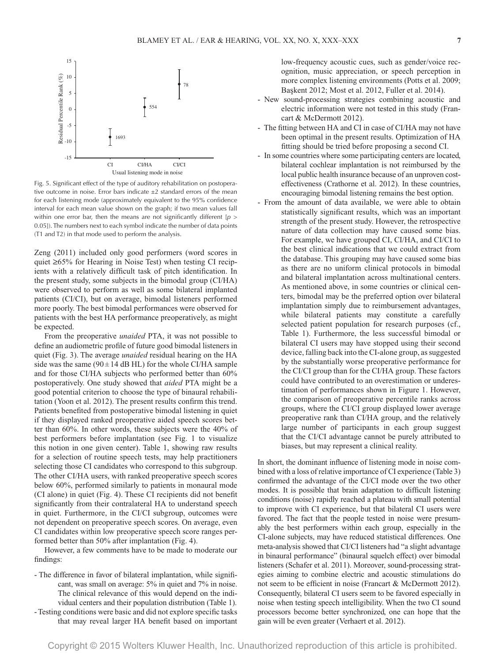

Fig. 5. Significant effect of the type of auditory rehabilitation on postoperative outcome in noise. Error bars indicate  $\pm 2$  standard errors of the mean for each listening mode (approximately equivalent to the 95% confidence interval for each mean value shown on the graph; if two mean values fall within one error bar, then the means are not significantly different [*p* > 0.05]). The numbers next to each symbol indicate the number of data points (T1 and T2) in that mode used to perform the analysis.

Zeng (2011) included only good performers (word scores in quiet ≥65% for Hearing in Noise Test) when testing CI recipients with a relatively difficult task of pitch identification. In the present study, some subjects in the bimodal group (CI/HA) were observed to perform as well as some bilateral implanted patients (CI/CI), but on average, bimodal listeners performed more poorly. The best bimodal performances were observed for patients with the best HA performance preoperatively, as might be expected.

From the preoperative *unaided* PTA, it was not possible to define an audiometric profile of future good bimodal listeners in quiet (Fig. 3). The average *unaided* residual hearing on the HA side was the same ( $90 \pm 14$  dB HL) for the whole CI/HA sample and for those CI/HA subjects who performed better than 60% postoperatively. One study showed that *aided* PTA might be a good potential criterion to choose the type of binaural rehabilitation (Yoon et al. 2012). The present results confirm this trend. Patients benefited from postoperative bimodal listening in quiet if they displayed ranked preoperative aided speech scores better than 60%. In other words, these subjects were the 40% of best performers before implantation (see Fig. 1 to visualize this notion in one given center). Table 1, showing raw results for a selection of routine speech tests, may help practitioners selecting those CI candidates who correspond to this subgroup. The other CI/HA users, with ranked preoperative speech scores below 60%, performed similarly to patients in monaural mode (CI alone) in quiet (Fig. 4). These CI recipients did not benefit significantly from their contralateral HA to understand speech in quiet. Furthermore, in the CI/CI subgroup, outcomes were not dependent on preoperative speech scores. On average, even CI candidates within low preoperative speech score ranges performed better than 50% after implantation (Fig. 4).

However, a few comments have to be made to moderate our findings:

- The difference in favor of bilateral implantation, while significant, was small on average: 5% in quiet and 7% in noise. The clinical relevance of this would depend on the individual centers and their population distribution (Table 1).
- Testing conditions were basic and did not explore specific tasks that may reveal larger HA benefit based on important

low-frequency acoustic cues, such as gender/voice recognition, music appreciation, or speech perception in more complex listening environments (Potts et al. 2009; Başkent 2012; Most et al. 2012, Fuller et al. 2014).

- New sound-processing strategies combining acoustic and electric information were not tested in this study (Francart & McDermott 2012).
- The fitting between HA and CI in case of CI/HA may not have been optimal in the present results. Optimization of HA fitting should be tried before proposing a second CI.
- In some countries where some participating centers are located, bilateral cochlear implantation is not reimbursed by the local public health insurance because of an unproven costeffectiveness (Crathorne et al. 2012). In these countries, encouraging bimodal listening remains the best option.
- From the amount of data available, we were able to obtain statistically significant results, which was an important strength of the present study. However, the retrospective nature of data collection may have caused some bias. For example, we have grouped CI, CI/HA, and CI/CI to the best clinical indications that we could extract from the database. This grouping may have caused some bias as there are no uniform clinical protocols in bimodal and bilateral implantation across multinational centers. As mentioned above, in some countries or clinical centers, bimodal may be the preferred option over bilateral implantation simply due to reimbursement advantages, while bilateral patients may constitute a carefully selected patient population for research purposes (cf., Table 1). Furthermore, the less successful bimodal or bilateral CI users may have stopped using their second device, falling back into the CI-alone group, as suggested by the substantially worse preoperative performance for the CI/CI group than for the CI/HA group. These factors could have contributed to an overestimation or underestimation of performances shown in Figure 1. However, the comparison of preoperative percentile ranks across groups, where the CI/CI group displayed lower average preoperative rank than CI/HA group, and the relatively large number of participants in each group suggest that the CI/CI advantage cannot be purely attributed to biases, but may represent a clinical reality.

In short, the dominant influence of listening mode in noise combined with a loss of relative importance of CI experience (Table 3) confirmed the advantage of the CI/CI mode over the two other modes. It is possible that brain adaptation to difficult listening conditions (noise) rapidly reached a plateau with small potential to improve with CI experience, but that bilateral CI users were favored. The fact that the people tested in noise were presumably the best performers within each group, especially in the CI-alone subjects, may have reduced statistical differences. One meta-analysis showed that CI/CI listeners had "a slight advantage in binaural performance" (binaural squelch effect) over bimodal listeners (Schafer et al. 2011). Moreover, sound-processing strategies aiming to combine electric and acoustic stimulations do not seem to be efficient in noise (Francart & McDermott 2012). Consequently, bilateral CI users seem to be favored especially in noise when testing speech intelligibility. When the two CI sound processors become better synchronized, one can hope that the gain will be even greater (Verhaert et al. 2012).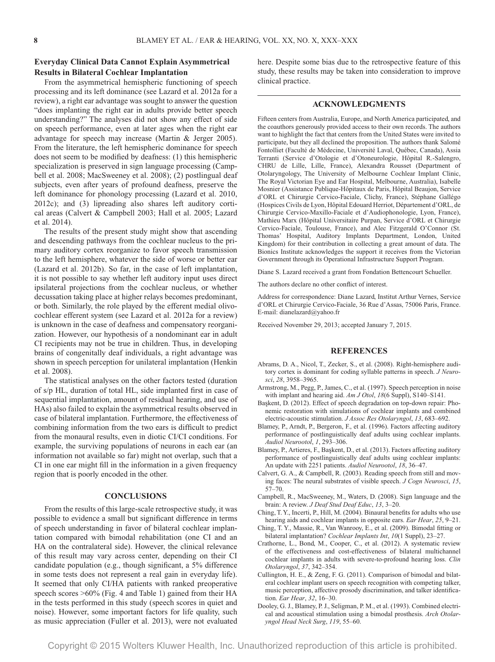## **Everyday Clinical Data Cannot Explain Asymmetrical Results in Bilateral Cochlear Implantation**

From the asymmetrical hemispheric functioning of speech processing and its left dominance (see Lazard et al. 2012a for a review), a right ear advantage was sought to answer the question "does implanting the right ear in adults provide better speech understanding?" The analyses did not show any effect of side on speech performance, even at later ages when the right ear advantage for speech may increase (Martin & Jerger 2005). From the literature, the left hemispheric dominance for speech does not seem to be modified by deafness: (1) this hemispheric specialization is preserved in sign language processing (Campbell et al. 2008; MacSweeney et al. 2008); (2) postlingual deaf subjects, even after years of profound deafness, preserve the left dominance for phonology processing (Lazard et al. 2010, 2012c); and (3) lipreading also shares left auditory cortical areas (Calvert & Campbell 2003; Hall et al. 2005; Lazard et al. 2014).

The results of the present study might show that ascending and descending pathways from the cochlear nucleus to the primary auditory cortex reorganize to favor speech transmission to the left hemisphere, whatever the side of worse or better ear (Lazard et al. 2012b). So far, in the case of left implantation, it is not possible to say whether left auditory input uses direct ipsilateral projections from the cochlear nucleus, or whether decussation taking place at higher relays becomes predominant, or both. Similarly, the role played by the efferent medial olivocochlear efferent system (see Lazard et al. 2012a for a review) is unknown in the case of deafness and compensatory reorganization. However, our hypothesis of a nondominant ear in adult CI recipients may not be true in children. Thus, in developing brains of congenitally deaf individuals, a right advantage was shown in speech perception for unilateral implantation (Henkin et al. 2008).

The statistical analyses on the other factors tested (duration of s/p HL, duration of total HL, side implanted first in case of sequential implantation, amount of residual hearing, and use of HAs) also failed to explain the asymmetrical results observed in case of bilateral implantation. Furthermore, the effectiveness of combining information from the two ears is difficult to predict from the monaural results, even in diotic CI/CI conditions. For example, the surviving populations of neurons in each ear (an information not available so far) might not overlap, such that a CI in one ear might fill in the information in a given frequency region that is poorly encoded in the other.

## **CONCLUSIONS**

From the results of this large-scale retrospective study, it was possible to evidence a small but significant difference in terms of speech understanding in favor of bilateral cochlear implantation compared with bimodal rehabilitation (one CI and an HA on the contralateral side). However, the clinical relevance of this result may vary across center, depending on their CI candidate population (e.g., though significant, a 5% difference in some tests does not represent a real gain in everyday life). It seemed that only CI/HA patients with ranked preoperative speech scores >60% (Fig. 4 and Table 1) gained from their HA in the tests performed in this study (speech scores in quiet and noise). However, some important factors for life quality, such as music appreciation (Fuller et al. 2013), were not evaluated here. Despite some bias due to the retrospective feature of this study, these results may be taken into consideration to improve clinical practice.

## **ACKNOWLEDGMENTS**

Fifteen centers from Australia, Europe, and North America participated, and the coauthors generously provided access to their own records. The authors want to highlight the fact that centers from the United States were invited to participate, but they all declined the proposition. The authors thank Salomé Fontolliet (Faculté de Médecine, Université Laval, Québec, Canada), Assia Terranti (Service d'Otologie et d'Otoneurologie, Hôpital R.-Salengro, CHRU de Lille, Lille, France), Alexandra Rousset (Department of Otolaryngology, The University of Melbourne Cochlear Implant Clinic, The Royal Victorian Eye and Ear Hospital, Melbourne, Australia), Isabelle Mosnier (Assistance Publique-Hôpitaux de Paris, Hôpital Beaujon, Service d'ORL et Chirurgie Cervico-Faciale, Clichy, France), Stéphane Gallégo (Hospices Civils de Lyon, Hôpital Edouard Herriot, Département d'ORL, de Chirurgie Cervico-Maxillo-Faciale et d'Audiophonologie, Lyon, France), Mathieu Marx (Hôpital Universitaire Purpan, Service d'ORL et Chirurgie Cervico-Faciale, Toulouse, France), and Alec Fitzgerald O'Connor (St. Thomas' Hospital, Auditory Implants Department, London, United Kingdom) for their contribution in collecting a great amount of data. The Bionics Institute acknowledges the support it receives from the Victorian Government through its Operational Infrastructure Support Program.

Diane S. Lazard received a grant from Fondation Bettencourt Schueller.

The authors declare no other conflict of interest.

Address for correspondence: Diane Lazard, Institut Arthur Vernes, Service d'ORL et Chirurgie Cervico-Faciale, 36 Rue d'Assas, 75006 Paris, France. E-mail: [dianelazard@yahoo.fr](http://dianelazard@yahoo.fr)

Received November 29, 2013; accepted January 7, 2015.

#### **REFERENCES**

- Abrams, D. A., Nicol, T., Zecker, S., et al. (2008). Right-hemisphere auditory cortex is dominant for coding syllable patterns in speech. *J Neurosci*, *28*, 3958–3965.
- Armstrong, M., Pegg, P., James, C., et al. (1997). Speech perception in noise with implant and hearing aid. *Am J Otol*, *18*(6 Suppl), S140–S141.
- Başkent, D. (2012). Effect of speech degradation on top-down repair: Phonemic restoration with simulations of cochlear implants and combined electric-acoustic stimulation. *J Assoc Res Otolaryngol*, *13*, 683–692.
- Blamey, P., Arndt, P., Bergeron, F., et al. (1996). Factors affecting auditory performance of postlinguistically deaf adults using cochlear implants. *Audiol Neurootol*, *1*, 293–306.
- Blamey, P., Artieres, F., Başkent, D., et al. (2013). Factors affecting auditory performance of postlinguistically deaf adults using cochlear implants: An update with 2251 patients. *Audiol Neurootol*, *18*, 36–47.
- Calvert, G. A., & Campbell, R. (2003). Reading speech from still and moving faces: The neural substrates of visible speech. *J Cogn Neurosci*, *15*, 57–70.
- Campbell, R., MacSweeney, M., Waters, D. (2008). Sign language and the brain: A review. *J Deaf Stud Deaf Educ*, *13*, 3–20.
- Ching, T. Y., Incerti, P., Hill, M. (2004). Binaural benefits for adults who use hearing aids and cochlear implants in opposite ears. *Ear Hear*, *25*, 9–21.
- Ching, T. Y., Massie, R., Van Wanrooy, E., et al. (2009). Bimodal fitting or bilateral implantation? *Cochlear Implants Int*, *10*(1 Suppl), 23–27.
- Crathorne, L., Bond, M., Cooper, C., et al. (2012). A systematic review of the effectiveness and cost-effectiveness of bilateral multichannel cochlear implants in adults with severe-to-profound hearing loss. *Clin Otolaryngol*, *37*, 342–354.
- Cullington, H. E., & Zeng, F. G. (2011). Comparison of bimodal and bilateral cochlear implant users on speech recognition with competing talker, music perception, affective prosody discrimination, and talker identification. *Ear Hear*, *32*, 16–30.
- Dooley, G. J., Blamey, P. J., Seligman, P. M., et al. (1993). Combined electrical and acoustical stimulation using a bimodal prosthesis. *Arch Otolaryngol Head Neck Surg*, *119*, 55–60.